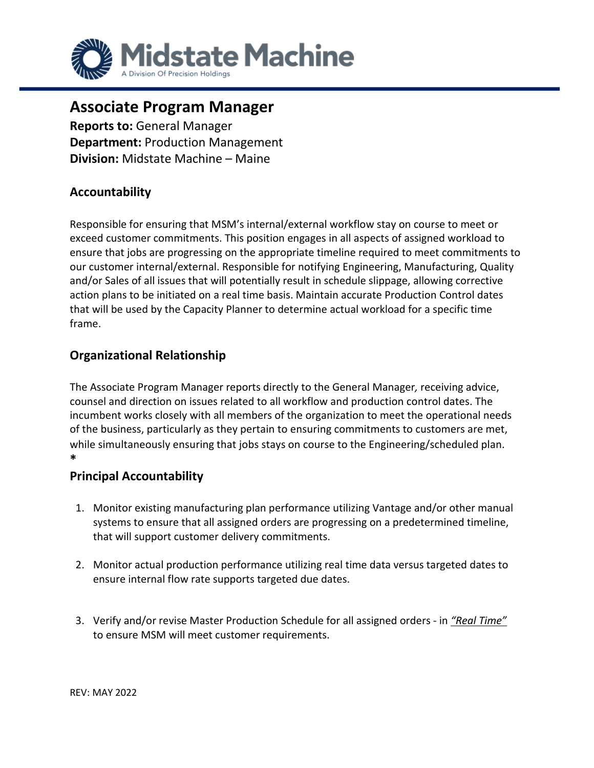

# **Associate Program Manager**

**Reports to:** General Manager **Department:** Production Management **Division:** Midstate Machine – Maine

# **Accountability**

Responsible for ensuring that MSM's internal/external workflow stay on course to meet or exceed customer commitments. This position engages in all aspects of assigned workload to ensure that jobs are progressing on the appropriate timeline required to meet commitments to our customer internal/external. Responsible for notifying Engineering, Manufacturing, Quality and/or Sales of all issues that will potentially result in schedule slippage, allowing corrective action plans to be initiated on a real time basis. Maintain accurate Production Control dates that will be used by the Capacity Planner to determine actual workload for a specific time frame.

# **Organizational Relationship**

The Associate Program Manager reports directly to the General Manager*,* receiving advice, counsel and direction on issues related to all workflow and production control dates. The incumbent works closely with all members of the organization to meet the operational needs of the business, particularly as they pertain to ensuring commitments to customers are met, while simultaneously ensuring that jobs stays on course to the Engineering/scheduled plan. **\*** 

### **Principal Accountability**

- 1. Monitor existing manufacturing plan performance utilizing Vantage and/or other manual systems to ensure that all assigned orders are progressing on a predetermined timeline, that will support customer delivery commitments.
- 2. Monitor actual production performance utilizing real time data versus targeted dates to ensure internal flow rate supports targeted due dates.
- 3. Verify and/or revise Master Production Schedule for all assigned orders in *"Real Time"* to ensure MSM will meet customer requirements.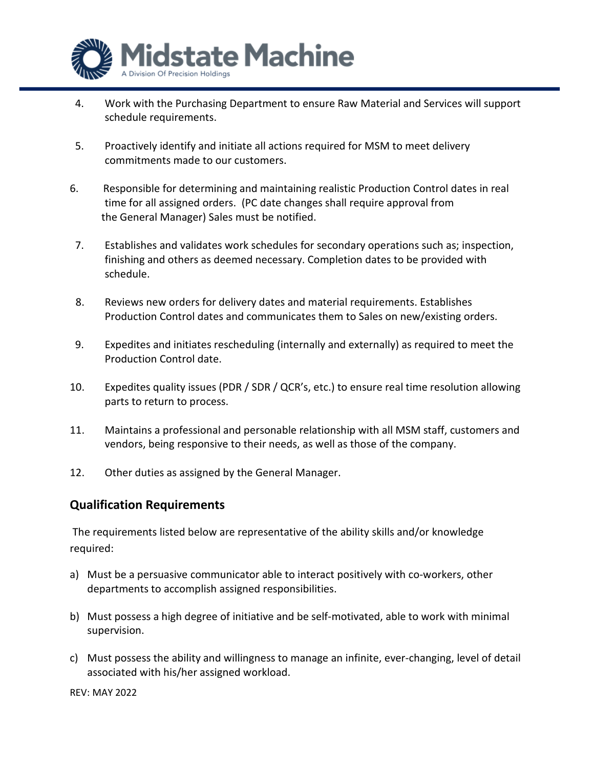

- 4. Work with the Purchasing Department to ensure Raw Material and Services will support schedule requirements.
- 5. Proactively identify and initiate all actions required for MSM to meet delivery commitments made to our customers.
- 6. Responsible for determining and maintaining realistic Production Control dates in real time for all assigned orders. (PC date changes shall require approval from the General Manager) Sales must be notified.
- 7. Establishes and validates work schedules for secondary operations such as; inspection, finishing and others as deemed necessary. Completion dates to be provided with schedule.
- 8. Reviews new orders for delivery dates and material requirements. Establishes Production Control dates and communicates them to Sales on new/existing orders.
- 9. Expedites and initiates rescheduling (internally and externally) as required to meet the Production Control date.
- 10. Expedites quality issues (PDR / SDR / QCR's, etc.) to ensure real time resolution allowing parts to return to process.
- 11. Maintains a professional and personable relationship with all MSM staff, customers and vendors, being responsive to their needs, as well as those of the company.
- 12. Other duties as assigned by the General Manager.

### **Qualification Requirements**

The requirements listed below are representative of the ability skills and/or knowledge required:

- a) Must be a persuasive communicator able to interact positively with co-workers, other departments to accomplish assigned responsibilities.
- b) Must possess a high degree of initiative and be self-motivated, able to work with minimal supervision.
- c) Must possess the ability and willingness to manage an infinite, ever-changing, level of detail associated with his/her assigned workload.

REV: MAY 2022